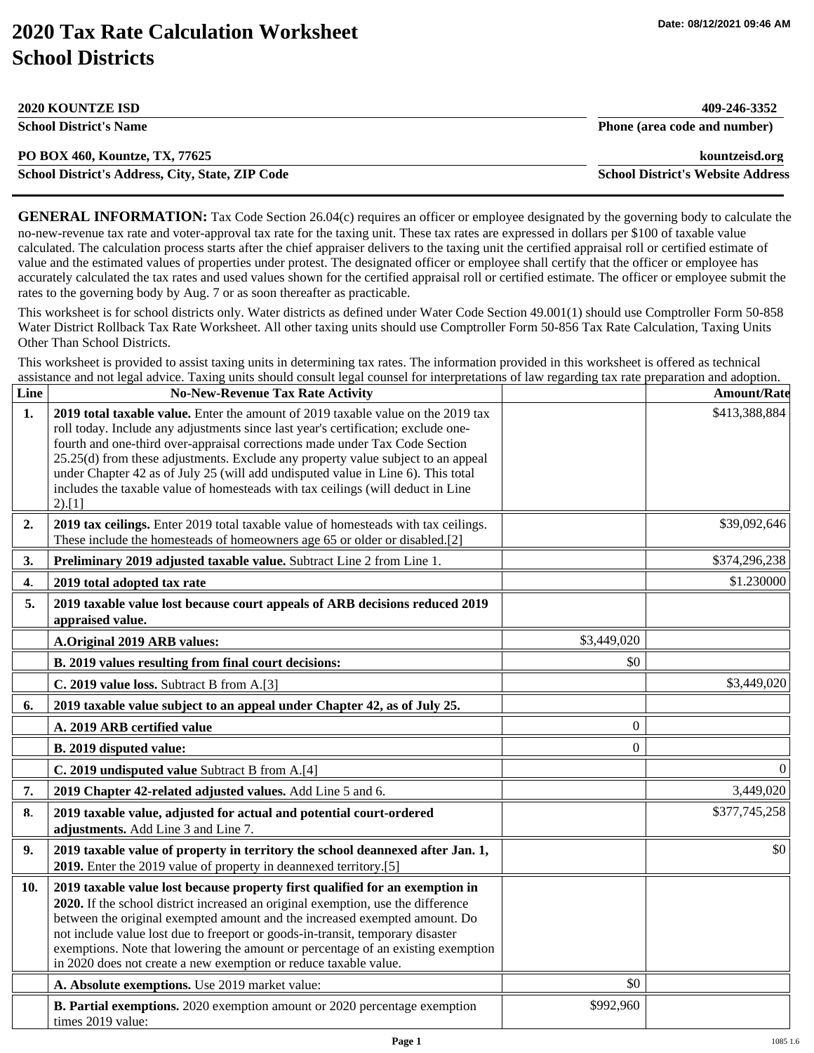**School District's Address, City, State, ZIP Code School District's Website Address**

## **2020 Tax Rate Calculation Worksheet School Districts**

| <b>2020 KOUNTZE ISD</b>        | 409-246-3352                 |
|--------------------------------|------------------------------|
| <b>School District's Name</b>  | Phone (area code and number) |
| PO BOX 460, Kountze, TX, 77625 | kountzeisd.org               |

| School District's Address, City, State, ZIP Code |  |  |  |
|--------------------------------------------------|--|--|--|
|--------------------------------------------------|--|--|--|

**GENERAL INFORMATION:** Tax Code Section 26.04(c) requires an officer or employee designated by the governing body to calculate the no-new-revenue tax rate and voter-approval tax rate for the taxing unit. These tax rates are expressed in dollars per \$100 of taxable value calculated. The calculation process starts after the chief appraiser delivers to the taxing unit the certified appraisal roll or certified estimate of value and the estimated values of properties under protest. The designated officer or employee shall certify that the officer or employee has accurately calculated the tax rates and used values shown for the certified appraisal roll or certified estimate. The officer or employee submit the rates to the governing body by Aug. 7 or as soon thereafter as practicable.

This worksheet is for school districts only. Water districts as defined under Water Code Section 49.001(1) should use Comptroller Form 50-858 Water District Rollback Tax Rate Worksheet. All other taxing units should use Comptroller Form 50-856 Tax Rate Calculation, Taxing Units Other Than School Districts.

This worksheet is provided to assist taxing units in determining tax rates. The information provided in this worksheet is offered as technical assistance and not legal advice. Taxing units should consult legal counsel for interpretations of law regarding tax rate preparation and adoption.

| Line           | <b>No-New-Revenue Tax Rate Activity</b>                                                                                                                                                                                                                                                                                                                                                                                                                                                                                   |                | <b>Amount/Rate</b> |
|----------------|---------------------------------------------------------------------------------------------------------------------------------------------------------------------------------------------------------------------------------------------------------------------------------------------------------------------------------------------------------------------------------------------------------------------------------------------------------------------------------------------------------------------------|----------------|--------------------|
| $\mathbf{1}$ . | 2019 total taxable value. Enter the amount of 2019 taxable value on the 2019 tax<br>roll today. Include any adjustments since last year's certification; exclude one-<br>fourth and one-third over-appraisal corrections made under Tax Code Section<br>25.25(d) from these adjustments. Exclude any property value subject to an appeal<br>under Chapter 42 as of July 25 (will add undisputed value in Line 6). This total<br>includes the taxable value of homesteads with tax ceilings (will deduct in Line<br>2).[1] |                | \$413,388,884      |
| 2.             | 2019 tax ceilings. Enter 2019 total taxable value of homesteads with tax ceilings.<br>These include the homesteads of homeowners age 65 or older or disabled.[2]                                                                                                                                                                                                                                                                                                                                                          |                | \$39,092,646       |
| 3.             | Preliminary 2019 adjusted taxable value. Subtract Line 2 from Line 1.                                                                                                                                                                                                                                                                                                                                                                                                                                                     |                | \$374,296,238      |
| 4.             | 2019 total adopted tax rate                                                                                                                                                                                                                                                                                                                                                                                                                                                                                               |                | \$1.230000         |
| 5.             | 2019 taxable value lost because court appeals of ARB decisions reduced 2019<br>appraised value.                                                                                                                                                                                                                                                                                                                                                                                                                           |                |                    |
|                | A.Original 2019 ARB values:                                                                                                                                                                                                                                                                                                                                                                                                                                                                                               | \$3,449,020    |                    |
|                | B. 2019 values resulting from final court decisions:                                                                                                                                                                                                                                                                                                                                                                                                                                                                      | \$0            |                    |
|                | C. 2019 value loss. Subtract B from A.[3]                                                                                                                                                                                                                                                                                                                                                                                                                                                                                 |                | \$3,449,020        |
| 6.             | 2019 taxable value subject to an appeal under Chapter 42, as of July 25.                                                                                                                                                                                                                                                                                                                                                                                                                                                  |                |                    |
|                | A. 2019 ARB certified value                                                                                                                                                                                                                                                                                                                                                                                                                                                                                               | $\overline{0}$ |                    |
|                | B. 2019 disputed value:                                                                                                                                                                                                                                                                                                                                                                                                                                                                                                   | $\overline{0}$ |                    |
|                | C. 2019 undisputed value Subtract B from A.[4]                                                                                                                                                                                                                                                                                                                                                                                                                                                                            |                | $\Omega$           |
| 7.             | 2019 Chapter 42-related adjusted values. Add Line 5 and 6.                                                                                                                                                                                                                                                                                                                                                                                                                                                                |                | 3,449,020          |
| 8.             | 2019 taxable value, adjusted for actual and potential court-ordered<br>adjustments. Add Line 3 and Line 7.                                                                                                                                                                                                                                                                                                                                                                                                                |                | \$377,745,258      |
| 9.             | 2019 taxable value of property in territory the school deannexed after Jan. 1,<br>2019. Enter the 2019 value of property in deannexed territory.[5]                                                                                                                                                                                                                                                                                                                                                                       |                | \$0                |
| 10.            | 2019 taxable value lost because property first qualified for an exemption in<br>2020. If the school district increased an original exemption, use the difference<br>between the original exempted amount and the increased exempted amount. Do<br>not include value lost due to freeport or goods-in-transit, temporary disaster<br>exemptions. Note that lowering the amount or percentage of an existing exemption<br>in 2020 does not create a new exemption or reduce taxable value.                                  |                |                    |
|                | A. Absolute exemptions. Use 2019 market value:                                                                                                                                                                                                                                                                                                                                                                                                                                                                            | \$0            |                    |
|                | <b>B. Partial exemptions.</b> 2020 exemption amount or 2020 percentage exemption<br>times 2019 value:                                                                                                                                                                                                                                                                                                                                                                                                                     | \$992,960      |                    |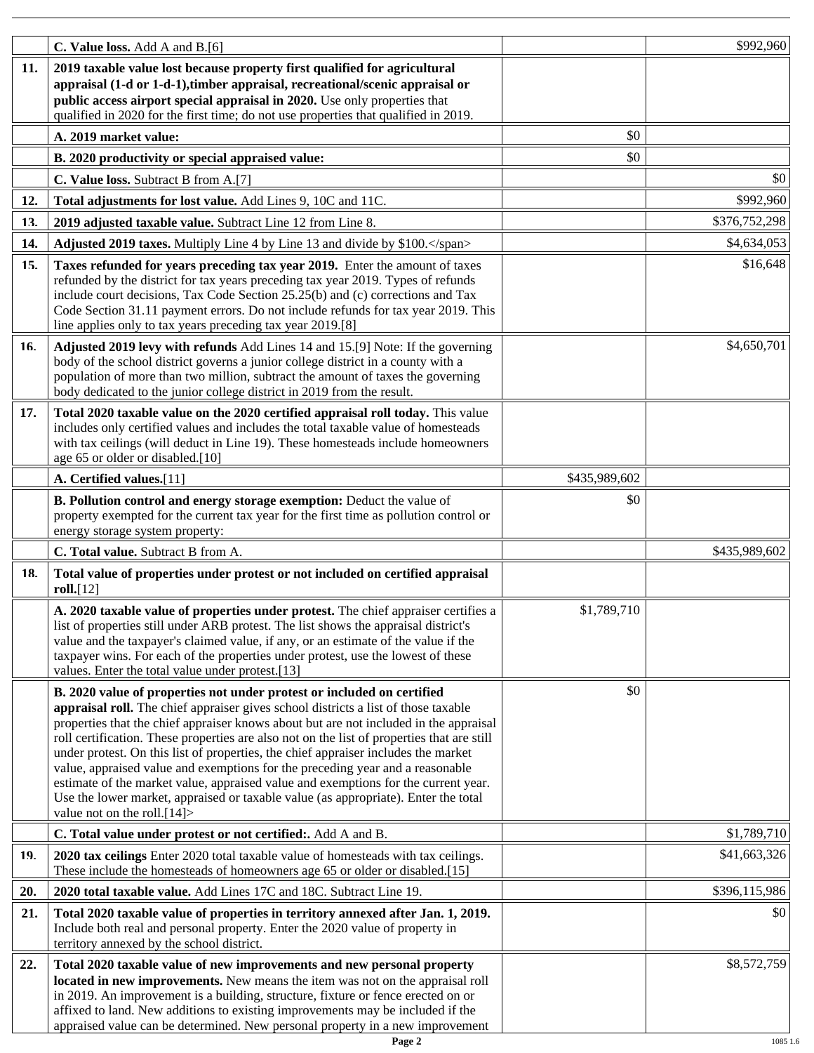|     | C. Value loss. Add A and B.[6]                                                                                                                                                                                                                                                                                                                                                                                                                                                                                                                                                                                                                                                                                                          |               | \$992,960     |
|-----|-----------------------------------------------------------------------------------------------------------------------------------------------------------------------------------------------------------------------------------------------------------------------------------------------------------------------------------------------------------------------------------------------------------------------------------------------------------------------------------------------------------------------------------------------------------------------------------------------------------------------------------------------------------------------------------------------------------------------------------------|---------------|---------------|
| 11. | 2019 taxable value lost because property first qualified for agricultural<br>appraisal (1-d or 1-d-1), timber appraisal, recreational/scenic appraisal or<br>public access airport special appraisal in 2020. Use only properties that<br>qualified in 2020 for the first time; do not use properties that qualified in 2019.                                                                                                                                                                                                                                                                                                                                                                                                           |               |               |
|     | A. 2019 market value:                                                                                                                                                                                                                                                                                                                                                                                                                                                                                                                                                                                                                                                                                                                   | \$0           |               |
|     | B. 2020 productivity or special appraised value:                                                                                                                                                                                                                                                                                                                                                                                                                                                                                                                                                                                                                                                                                        | \$0           |               |
|     | C. Value loss. Subtract B from A.[7]                                                                                                                                                                                                                                                                                                                                                                                                                                                                                                                                                                                                                                                                                                    |               | \$0           |
| 12. | Total adjustments for lost value. Add Lines 9, 10C and 11C.                                                                                                                                                                                                                                                                                                                                                                                                                                                                                                                                                                                                                                                                             |               | \$992,960     |
| 13. | 2019 adjusted taxable value. Subtract Line 12 from Line 8.                                                                                                                                                                                                                                                                                                                                                                                                                                                                                                                                                                                                                                                                              |               | \$376,752,298 |
| 14. | Adjusted 2019 taxes. Multiply Line 4 by Line 13 and divide by \$100.                                                                                                                                                                                                                                                                                                                                                                                                                                                                                                                                                                                                                                                                    |               | \$4,634,053   |
| 15. | Taxes refunded for years preceding tax year 2019. Enter the amount of taxes                                                                                                                                                                                                                                                                                                                                                                                                                                                                                                                                                                                                                                                             |               | \$16,648      |
|     | refunded by the district for tax years preceding tax year 2019. Types of refunds<br>include court decisions, Tax Code Section 25.25(b) and (c) corrections and Tax<br>Code Section 31.11 payment errors. Do not include refunds for tax year 2019. This<br>line applies only to tax years preceding tax year 2019.[8]                                                                                                                                                                                                                                                                                                                                                                                                                   |               |               |
| 16. | Adjusted 2019 levy with refunds Add Lines 14 and 15.[9] Note: If the governing<br>body of the school district governs a junior college district in a county with a<br>population of more than two million, subtract the amount of taxes the governing<br>body dedicated to the junior college district in 2019 from the result.                                                                                                                                                                                                                                                                                                                                                                                                         |               | \$4,650,701   |
| 17. | Total 2020 taxable value on the 2020 certified appraisal roll today. This value<br>includes only certified values and includes the total taxable value of homesteads<br>with tax ceilings (will deduct in Line 19). These homesteads include homeowners<br>age 65 or older or disabled.[10]                                                                                                                                                                                                                                                                                                                                                                                                                                             |               |               |
|     | A. Certified values.[11]                                                                                                                                                                                                                                                                                                                                                                                                                                                                                                                                                                                                                                                                                                                | \$435,989,602 |               |
|     | B. Pollution control and energy storage exemption: Deduct the value of<br>property exempted for the current tax year for the first time as pollution control or<br>energy storage system property:                                                                                                                                                                                                                                                                                                                                                                                                                                                                                                                                      | \$0           |               |
|     | C. Total value. Subtract B from A.                                                                                                                                                                                                                                                                                                                                                                                                                                                                                                                                                                                                                                                                                                      |               | \$435,989,602 |
| 18. | Total value of properties under protest or not included on certified appraisal<br>roll.[12]                                                                                                                                                                                                                                                                                                                                                                                                                                                                                                                                                                                                                                             |               |               |
|     | A. 2020 taxable value of properties under protest. The chief appraiser certifies a<br>list of properties still under ARB protest. The list shows the appraisal district's<br>value and the taxpayer's claimed value, if any, or an estimate of the value if the<br>taxpayer wins. For each of the properties under protest, use the lowest of these<br>values. Enter the total value under protest.[13]                                                                                                                                                                                                                                                                                                                                 | \$1,789,710   |               |
|     | B. 2020 value of properties not under protest or included on certified<br>appraisal roll. The chief appraiser gives school districts a list of those taxable<br>properties that the chief appraiser knows about but are not included in the appraisal<br>roll certification. These properties are also not on the list of properties that are still<br>under protest. On this list of properties, the chief appraiser includes the market<br>value, appraised value and exemptions for the preceding year and a reasonable<br>estimate of the market value, appraised value and exemptions for the current year.<br>Use the lower market, appraised or taxable value (as appropriate). Enter the total<br>value not on the roll. $[14]$ | \$0           |               |
|     | C. Total value under protest or not certified:. Add A and B.                                                                                                                                                                                                                                                                                                                                                                                                                                                                                                                                                                                                                                                                            |               | \$1,789,710   |
| 19. | 2020 tax ceilings Enter 2020 total taxable value of homesteads with tax ceilings.<br>These include the homesteads of homeowners age 65 or older or disabled.[15]                                                                                                                                                                                                                                                                                                                                                                                                                                                                                                                                                                        |               | \$41,663,326  |
| 20. | 2020 total taxable value. Add Lines 17C and 18C. Subtract Line 19.                                                                                                                                                                                                                                                                                                                                                                                                                                                                                                                                                                                                                                                                      |               | \$396,115,986 |
| 21. | Total 2020 taxable value of properties in territory annexed after Jan. 1, 2019.<br>Include both real and personal property. Enter the 2020 value of property in<br>territory annexed by the school district.                                                                                                                                                                                                                                                                                                                                                                                                                                                                                                                            |               | \$0           |
| 22. | Total 2020 taxable value of new improvements and new personal property<br>located in new improvements. New means the item was not on the appraisal roll<br>in 2019. An improvement is a building, structure, fixture or fence erected on or<br>affixed to land. New additions to existing improvements may be included if the<br>appraised value can be determined. New personal property in a new improvement                                                                                                                                                                                                                                                                                                                          |               | \$8,572,759   |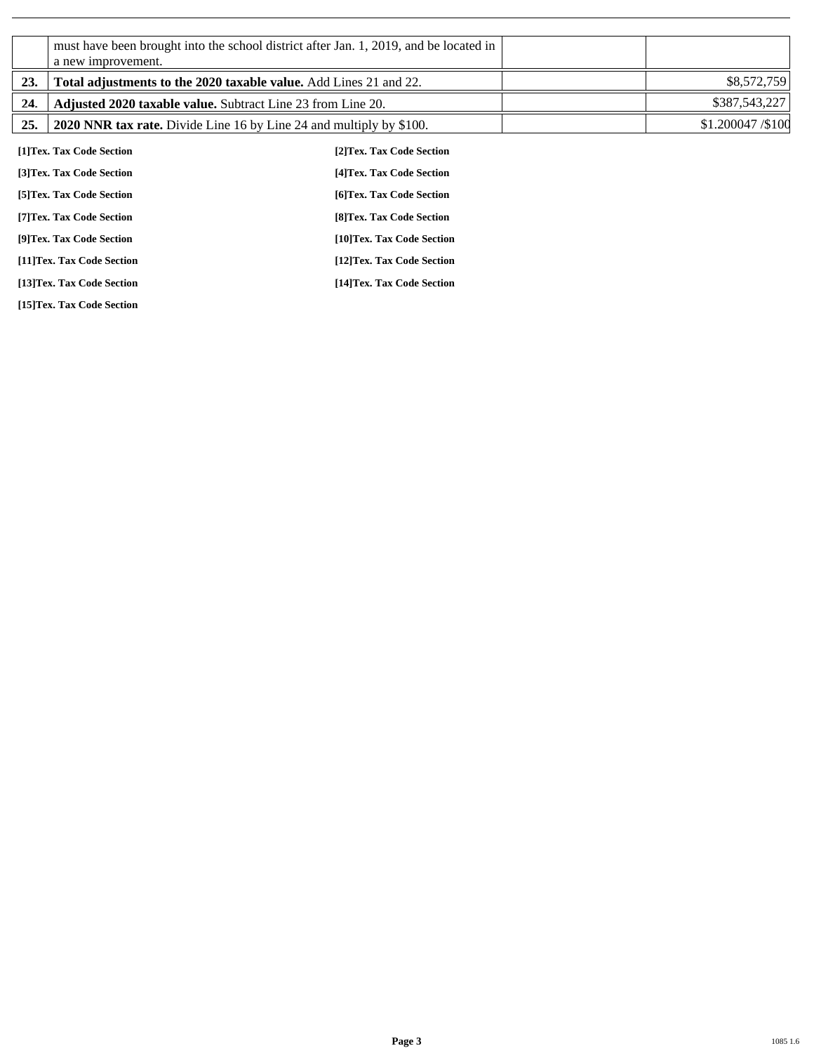|     | a new improvement.                                                         | must have been brought into the school district after Jan. 1, 2019, and be located in |                  |
|-----|----------------------------------------------------------------------------|---------------------------------------------------------------------------------------|------------------|
| 23. | Total adjustments to the 2020 taxable value. Add Lines 21 and 22.          |                                                                                       | \$8,572,759      |
| 24. | <b>Adjusted 2020 taxable value.</b> Subtract Line 23 from Line 20.         |                                                                                       | \$387,543,227    |
| 25. | <b>2020 NNR tax rate.</b> Divide Line 16 by Line 24 and multiply by \$100. |                                                                                       | \$1.200047/\$100 |
|     | [1] Tex. Tax Code Section                                                  | [2]Tex. Tax Code Section                                                              |                  |
|     | [3] Tex. Tax Code Section                                                  | [4] Tex. Tax Code Section                                                             |                  |
|     | [5] Tex. Tax Code Section                                                  | [6]Tex. Tax Code Section                                                              |                  |
|     | [7] Tex. Tax Code Section                                                  | [8] Tex. Tax Code Section                                                             |                  |
|     | [9]Tex. Tax Code Section                                                   | [10]Tex. Tax Code Section                                                             |                  |
|     | [11]Tex. Tax Code Section                                                  | [12]Tex. Tax Code Section                                                             |                  |
|     | [13]Tex. Tax Code Section                                                  | [14]Tex. Tax Code Section                                                             |                  |

**[15]Tex. Tax Code Section**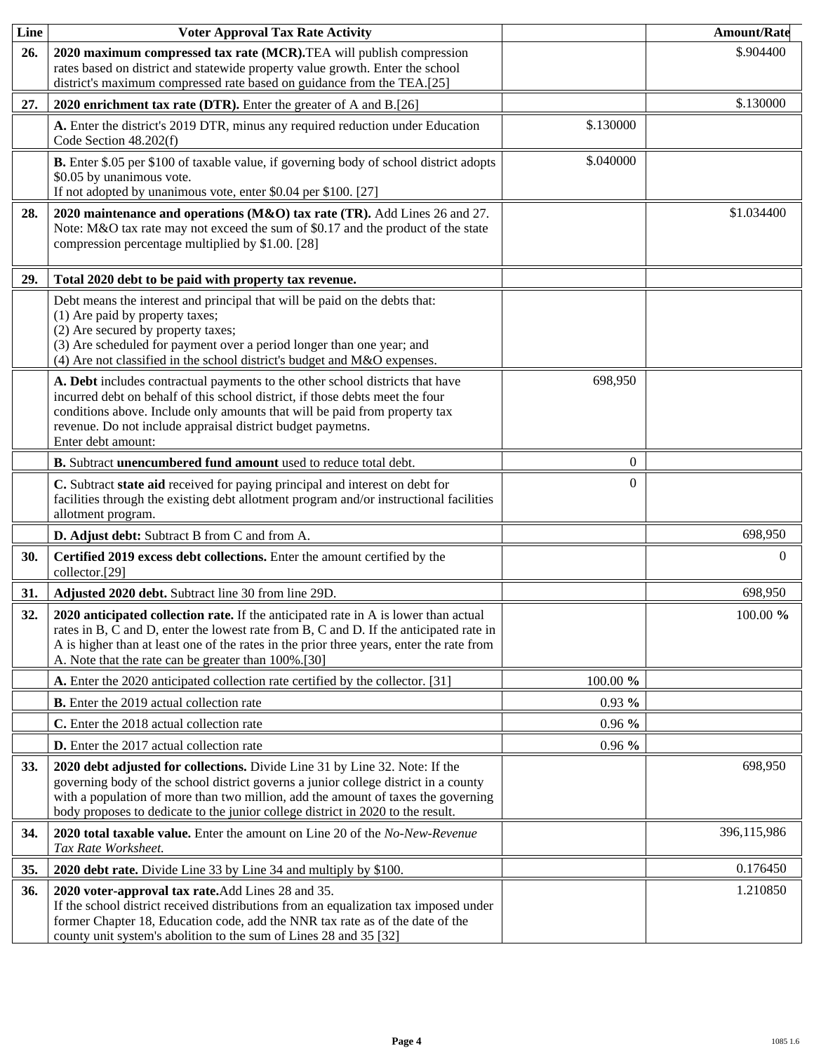| Line       | <b>Voter Approval Tax Rate Activity</b>                                                                                                                                                                                                                                                                                                    |           | <b>Amount/Rate</b> |
|------------|--------------------------------------------------------------------------------------------------------------------------------------------------------------------------------------------------------------------------------------------------------------------------------------------------------------------------------------------|-----------|--------------------|
| 26.        | 2020 maximum compressed tax rate (MCR). TEA will publish compression<br>rates based on district and statewide property value growth. Enter the school<br>district's maximum compressed rate based on guidance from the TEA.[25]                                                                                                            |           | \$.904400          |
| 27.        | 2020 enrichment tax rate (DTR). Enter the greater of A and B.[26]                                                                                                                                                                                                                                                                          |           | \$.130000          |
|            | A. Enter the district's 2019 DTR, minus any required reduction under Education<br>Code Section 48.202(f)                                                                                                                                                                                                                                   | \$.130000 |                    |
|            | B. Enter \$.05 per \$100 of taxable value, if governing body of school district adopts<br>\$0.05 by unanimous vote.<br>If not adopted by unanimous vote, enter \$0.04 per \$100. [27]                                                                                                                                                      | \$.040000 |                    |
| 28.        | 2020 maintenance and operations (M&O) tax rate (TR). Add Lines 26 and 27.<br>Note: M&O tax rate may not exceed the sum of \$0.17 and the product of the state<br>compression percentage multiplied by \$1.00. [28]                                                                                                                         |           | \$1.034400         |
| 29.        | Total 2020 debt to be paid with property tax revenue.                                                                                                                                                                                                                                                                                      |           |                    |
|            | Debt means the interest and principal that will be paid on the debts that:<br>(1) Are paid by property taxes;<br>(2) Are secured by property taxes;<br>(3) Are scheduled for payment over a period longer than one year; and<br>(4) Are not classified in the school district's budget and M&O expenses.                                   |           |                    |
|            | A. Debt includes contractual payments to the other school districts that have<br>incurred debt on behalf of this school district, if those debts meet the four<br>conditions above. Include only amounts that will be paid from property tax<br>revenue. Do not include appraisal district budget paymetns.<br>Enter debt amount:          | 698,950   |                    |
|            | B. Subtract unencumbered fund amount used to reduce total debt.                                                                                                                                                                                                                                                                            | $\theta$  |                    |
|            | C. Subtract state aid received for paying principal and interest on debt for<br>facilities through the existing debt allotment program and/or instructional facilities<br>allotment program.                                                                                                                                               | $\Omega$  |                    |
|            | D. Adjust debt: Subtract B from C and from A.                                                                                                                                                                                                                                                                                              |           | 698,950            |
| 30.        | Certified 2019 excess debt collections. Enter the amount certified by the<br>collector.[29]                                                                                                                                                                                                                                                |           | $\Omega$           |
| 31.        | Adjusted 2020 debt. Subtract line 30 from line 29D.                                                                                                                                                                                                                                                                                        |           | 698,950            |
| 32.        | 2020 anticipated collection rate. If the anticipated rate in A is lower than actual<br>rates in B, C and D, enter the lowest rate from B, C and D. If the anticipated rate in<br>A is higher than at least one of the rates in the prior three years, enter the rate from<br>A. Note that the rate can be greater than 100%.[30]           |           | 100.00 %           |
|            | A. Enter the 2020 anticipated collection rate certified by the collector. [31]                                                                                                                                                                                                                                                             | 100.00 %  |                    |
|            | <b>B.</b> Enter the 2019 actual collection rate                                                                                                                                                                                                                                                                                            | $0.93\%$  |                    |
|            | C. Enter the 2018 actual collection rate                                                                                                                                                                                                                                                                                                   | $0.96\%$  |                    |
|            | <b>D.</b> Enter the 2017 actual collection rate                                                                                                                                                                                                                                                                                            | $0.96\%$  |                    |
| <b>33.</b> | 2020 debt adjusted for collections. Divide Line 31 by Line 32. Note: If the<br>governing body of the school district governs a junior college district in a county<br>with a population of more than two million, add the amount of taxes the governing<br>body proposes to dedicate to the junior college district in 2020 to the result. |           | 698,950            |
| 34.        | 2020 total taxable value. Enter the amount on Line 20 of the No-New-Revenue<br>Tax Rate Worksheet.                                                                                                                                                                                                                                         |           | 396,115,986        |
| 35.        | 2020 debt rate. Divide Line 33 by Line 34 and multiply by \$100.                                                                                                                                                                                                                                                                           |           | 0.176450           |
| 36.        | 2020 voter-approval tax rate. Add Lines 28 and 35.<br>If the school district received distributions from an equalization tax imposed under<br>former Chapter 18, Education code, add the NNR tax rate as of the date of the<br>county unit system's abolition to the sum of Lines 28 and 35 [32]                                           |           | 1.210850           |